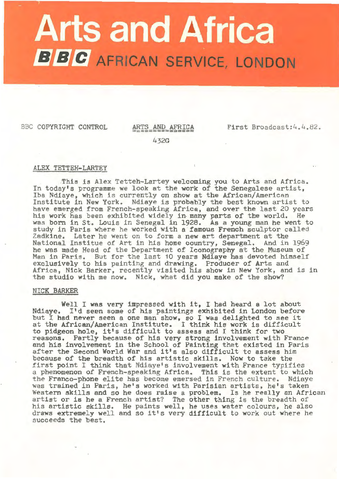# **Arts and Africa BBC** AFRICAN SERVICE, LONDON

BBC COPYRIGHT CONTROL ARTS AND AFRICA First Broadcast:4.4.82.

432G

# ALEX TETTEH-LARTEY

.This is Alex Tetteh-Lartey welcoming you to Arts and Africa. In today's programme we look at the **work** of the Senegalese artist, Iba Ndiaye, which is currently on show at the African/American Institute in New York. Ndiaye is probably the best known artist to his work has been exhibited widely in many parts of the world. He was born in St. Louis in Senegal in 1928. As a young man he went to study in Paris where he worked with a famous French sculptor called Zadkine. Later he went on to form a new art department at the National Institue of Art in his home country, Senegal. And in 1969 he was made Head of the Department of Iconography at the Museum of Man in Paris. But for the last 10 years Ndiaye has devoted himself exclusively to his painting and drawing. Producer of Arts and Africa, Nick Barker, recently visited his show in New York, and is in the studio with me now. Nick, what did you make of the show?

### NICK BARKER

Well I was very impressed with it, I had heard a lot about Ndiaye. I'd seen some of his paintings exhibited in London before but I had never seen a one man show, so I was delighted to see it at the African/American Institute. I think his work is difficult to pidgeon hole, it's difficult to assess and I think for two reasons. Partly because of his very strong involvement with France and his involvement in the School of Painting that existed in Paris and his involvement in the School of Painting that existed in Pa<br>after the Second World War and it's also difficult to assess him because of the breadth of his artistic skills. Now to take the first point I think that Ndiaye's involvement with France typifies a phenomenon of French-speaking Africa. This is the extent to which the Franco-phone elite has become emersed in French culture. Ndiaye was trained in Paris, he's worked with Parisian artists, he's taken Western skills and so he does raise a problem. Is he really an African artist or is he a French artist? The other thing is the breadth of his artistic skills. He paints well, he uses water colours, he also his artistic skills. He paints well, he uses water colours, he also<br>draws extremely well and so it's very difficult to work out where he succeeds the best.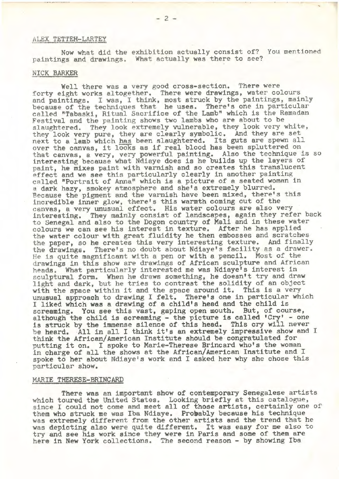# ALEX TETTEH-LARTEY

Now what did the exhibition actually consist of? You mentioned paintings and drawings. What actually was there to see?

*r* 

## NICK BARKER

Well there was a very good cross-section. There were forty eight works altogether. There **were** drawings, water colours because of the techniques that he uses. There's one in particular called "Tabaski, Ritual Sacrifice of the Lamb" which is the Ramadan Festival and the painting shows two lambs who are about to be slaughtered. They look extremely vulnerable, they look very white, they look very pure, they are clearly symbolic. And they are set next to a lamb which has been slaughtered. Its guts are spewn all over the canvas, it looks as if real blood has been spluttered on that canvas, a very, very powerful painting. Also the technique is so interesting because what Ndiaye does is he builds up the layers of paint, he mixes paint with varnish and so creates this translucent effect and we see this particularly clearly in another painting called "Portrait of Anna" which is a picture of a seated woman in a dark hazy, smokey atmosphere and she's extremely blurred. Because the pigment and the varnish have been mixed, there's this incredible inner glow, there's this warmth coming out of the canvas, a very unusual effect. His water colours are also very interesting. They mainly consist of landscapes, again they refer back interesting. They mainly consist of landscapes, again they refer back<br>to Senegal and also to the Dogon country of Mali and in these water<br>colours we can see his interest in texture. After he has applied the water colour with great fluidity he then embosses and scratches the paper, so he creates this very interesting texture. And finally the drawings. There's no doubt about Ndiaye's facility as a drawer. He is quite magnificent with a pen or with a pencil. Most of the drawings in this show are drawings of African sculpture and African heads. What particularly interested me was Ndiaye's interest in sculptural form. When he draws something, he doesn't try and draw light and dark, but he tries to contrast the solidity of an object with the space within it and the space around it. This is a very unusual approach to drawing I felt. There's one in particular which I liked which was a drawing of a child's head and the child is screaming. You see this vast, gaping open mouth. But, of course, although the child is screaming - the picture is called 'Cry' - one is struck by the immense silence of. this head. This cry will never be heard. All in all I think it's an extremely impressive show and I think the African/American Institute should be congratulated for putting it on. I spoke to Marie-Therese Brincard who's the woman in charge of all the shows at the African/American Institute and I spoke to her about Ndiaye's work and I asked her why she chose this particular show.

### MARIE THERESE-BR'INCARD

There was an important show of contemporary Senegalese artists which toured the United States. Looking briefly at this catalogue, since I could not come and meet all of those artists, certainly one of them who struck me was Iba Ndiaye. Probably because his technique was extremely different from the other artists and the trend that he was depicting also were quite different. It was easy for me also to try and see his work since they were in Paris and some of them are here in New York collections. The second reason - by showing Iba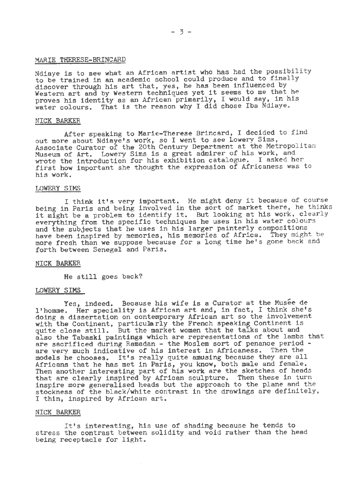# MARIE THERESE-BRINCARD

Ndiaye is to see what an African artist who has had the possibility to be trained in an academic school could produce and to finally discover through his art that, yes, he has been influenced by Western art and by Western techniques yet it seems to me that he proves his identity as an African primarily, I would say, in his proves his identity as an Affican primarity, I would buy, in a

# **NICK** BARKER

After speaking to Marie-Therese Brincard, I decided to find out more about Ndiaye's **work,** so I went to see Lowery Sims, Associate Curator of the 20th Century Department at the Metropolitan Museum of Art. Lowery S'ims is a great admirer of his work, and wrote the introduction for his exhibition catalogue. I asked her first how important she thought the expression of Africaness was to his work.

# LOWERY SIMS

I think it's very important. He might deny it because of course being in Paris and being involved in the sort of market there, he thinks it might be a problem to identify it. But looking at his work, clearly everything from the specific techniques he uses in his water colours and the subjects that he uses in his larger painterly compositions have been inspired by memories, his memories of Africa. They might be more fresh than we suppose because for a long time he's gone back and forth between Senegal and Paris.

### NICK BARKER

He still goes back?

# LOWERY SIMS

Yes, indeed. Because his wife is a Curator at the Musee de l'homme. Her speciality is African art and, in fact, I think she's doing a dissertation on contemporary African art so the involvement with the Continent, particularly the French speaking Continent is quite close still. But the market women that he talks about and also the Tabaski paintings which are representations of the lambs that are sacrificed during Ramadan - the Moslem sort of penance period - are very much indicative of his interest in Africaness. Then the are very much indicative of his interest in Africaness. Then the<br>models he chooses. It's really quite amusing because they are all Africans that he has met in Paris, you **know,** both male and female. Then another interesting part of his work are the sketches of heads that are clearly inspired by African sculpture. Then these in turn inspire more generalised heads but the approach to the plane and the stockness of the black/white contrast in the drawings are definitely, I thin, inspired by African art.

### **NICK** BARKER

It's interesting, his use of shading because he tends to stress the contrast between solidity and void rather than the head being receptacle for light.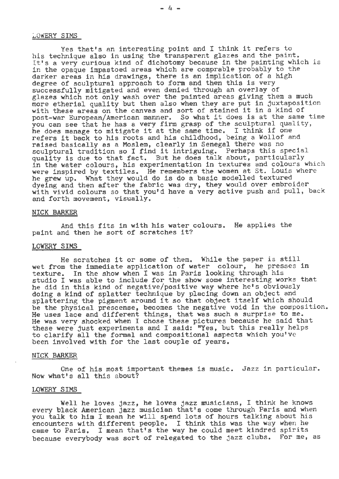## LOWERY SIMS

Yes that's an interesting point and I think it refers to his technique also in using the transparent glazes and the paint. It's a very curious kind of dichotomy because in the painting which is in the opaque impastoed areas which are comprable probably to the darker areas in his drawings, there is an implication of a high degree of sculptural approach to form and then this is very successfully mitigated and even denied through an overlay of glazes which not only wash over the painted areas giving them a much more etherial quality but then also when they are put in juxtaposition with these areas on the canvas and sort of stained it in a kind of with these areas on the canvas and sort of stained it in a kind of<br>post-war European/American manner. So what it does is at the same time you can see that he has a very firm grasp of the sculptural quality, he does manage to mitigate it at the same time. I think if one refers it back to his roots and his childhood, being a Wollof and raised basically as a Moslem, clearly in Senegal there was no sculptural tradition so I find it intriguing. Perhaps this special quality is due to that fact. But he does talk about, particularly in the water colours, his experimentation in textures and colours which were inspired by textiles. He remembers the women at St. Louis where were inspired by textiles. He remembers the women at 5t. Bodis he grew up. What they would do is do a basic modelled textured dyeing and then after the fabric was dry, they would over embroider with vivid colours so that you'd have a very active push and pull, back and forth movement, visually.

## **NICK** BARKER

And this fits in **with** his water colours. He applies the paint and then he sort of scratches it?

# LOWERY SIMS

He scratches it or some of them. While the paper is still wet from the immediate application of water colour, he presses in texture. In the show when I was in Paris looking through his studio I was able to include for the show some interesting works that<br>he did in this kind of negative/positive way where he's obviously he did in this kind of negative/positive way where he's obviously doing a kind of splatter technique by placing down an object and doing a kind of splatter technique by placing down an object and<br>splattering the pigment around it so that object itself which should be the physical prescense, becomes the negative void in the composition. He uses lace and different things, that was such a surprise to me. He was very shocked when I chose these pictures because he said that these were just experiments and I said: "Yes, but this really helps to clarify all the formal and compositional aspects which you've been involved with for the last couple of years.

### NICK BARKER

One of his most important themes is music. Jazz in particular. Now what's all this about?

## LOWERY SIMS

Well he loves jazz, he loves jazz musicians, I think he knows every black American jazz musician that's come through Paris and when you talk to him I mean he will spend lots of hours talking about his encounters with different people. I think this was the way when he came to Paris. I mean that's the way he could meet kindred spirits because everybody was sort of relegated to the jazz clubs. For me, as